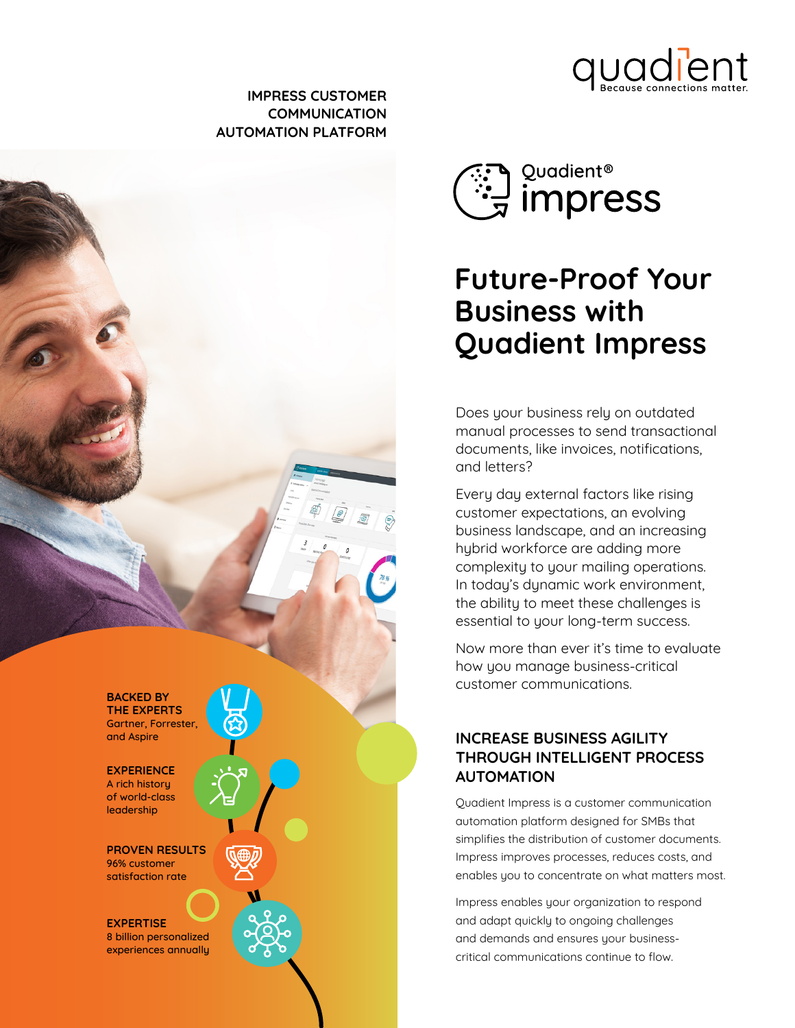

#### **IMPRESS CUSTOMER COMMUNICATION AUTOMATION PLATFORM**





# **Future-Proof Your Business with Quadient Impress**

Does your business rely on outdated manual processes to send transactional documents, like invoices, notifications, and letters?

Every day external factors like rising customer expectations, an evolving business landscape, and an increasing hybrid workforce are adding more complexity to your mailing operations. In today's dynamic work environment, the ability to meet these challenges is essential to your long-term success.

Now more than ever it's time to evaluate how you manage business-critical customer communications.

### **INCREASE BUSINESS AGILITY THROUGH INTELLIGENT PROCESS AUTOMATION**

Quadient Impress is a customer communication automation platform designed for SMBs that simplifies the distribution of customer documents. Impress improves processes, reduces costs, and enables you to concentrate on what matters most.

Impress enables your organization to respond and adapt quickly to ongoing challenges and demands and ensures your businesscritical communications continue to flow.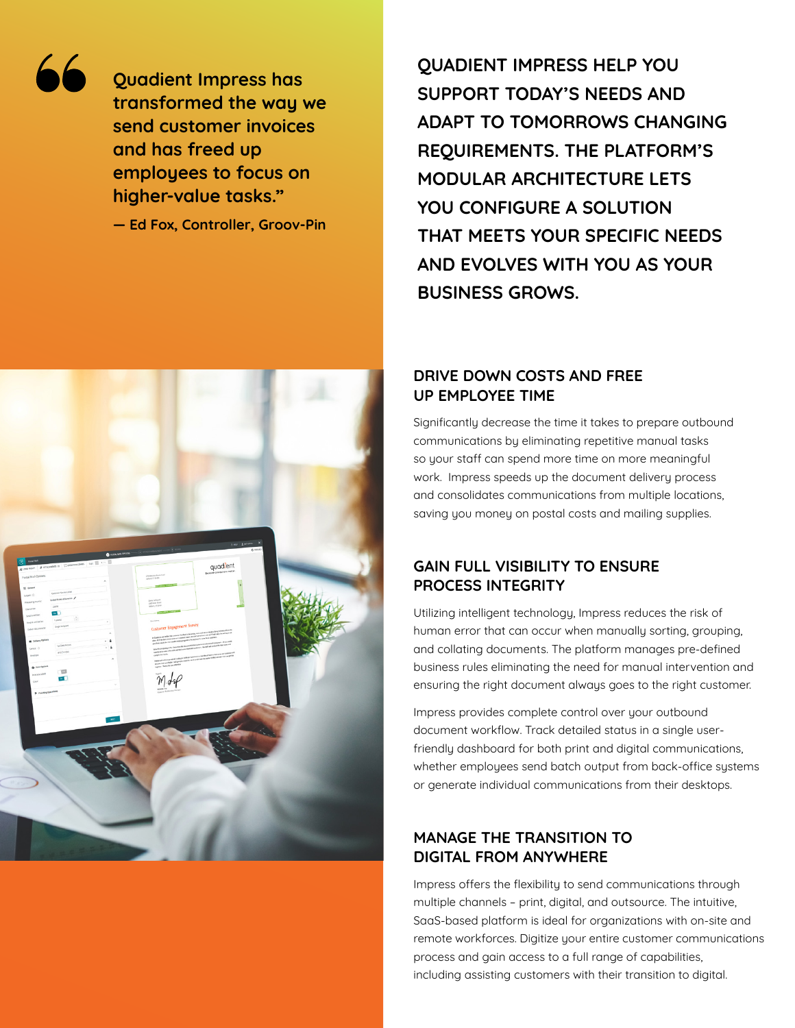

**Quadient Impress has transformed the way we send customer invoices and has freed up employees to focus on higher-value tasks."** 

**— Ed Fox, Controller, Groov-Pin**

**QUADIENT IMPRESS HELP YOU SUPPORT TODAY'S NEEDS AND ADAPT TO TOMORROWS CHANGING REQUIREMENTS. THE PLATFORM'S MODULAR ARCHITECTURE LETS YOU CONFIGURE A SOLUTION THAT MEETS YOUR SPECIFIC NEEDS AND EVOLVES WITH YOU AS YOUR BUSINESS GROWS.** 

#### **DRIVE DOWN COSTS AND FREE UP EMPLOYEE TIME**

Significantly decrease the time it takes to prepare outbound communications by eliminating repetitive manual tasks so your staff can spend more time on more meaningful work. Impress speeds up the document delivery process and consolidates communications from multiple locations, saving you money on postal costs and mailing supplies.

#### **GAIN FULL VISIBILITY TO ENSURE PROCESS INTEGRITY**

Utilizing intelligent technology, Impress reduces the risk of human error that can occur when manually sorting, grouping, and collating documents. The platform manages pre-defined business rules eliminating the need for manual intervention and ensuring the right document always goes to the right customer.

Impress provides complete control over your outbound document workflow. Track detailed status in a single userfriendly dashboard for both print and digital communications, whether employees send batch output from back-office systems or generate individual communications from their desktops.

#### **MANAGE THE TRANSITION TO DIGITAL FROM ANYWHERE**

Impress offers the flexibility to send communications through multiple channels – print, digital, and outsource. The intuitive, SaaS-based platform is ideal for organizations with on-site and remote workforces. Digitize your entire customer communications process and gain access to a full range of capabilities, including assisting customers with their transition to digital.

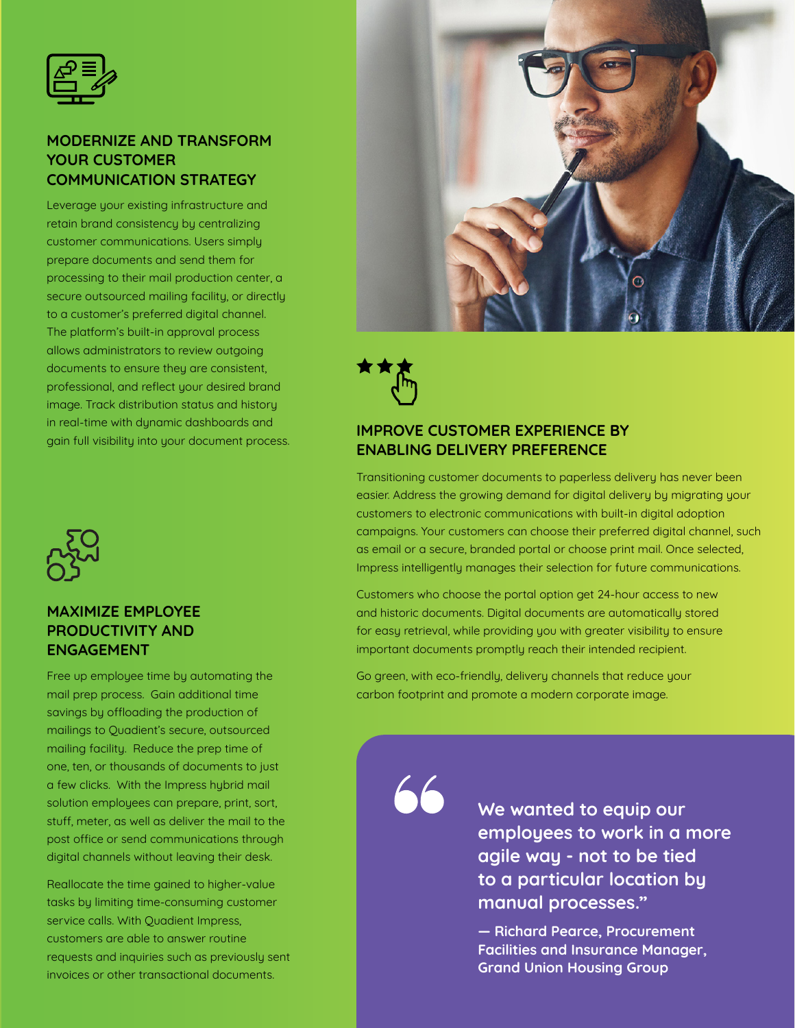

#### **MODERNIZE AND TRANSFORM YOUR CUSTOMER COMMUNICATION STRATEGY**

Leverage your existing infrastructure and retain brand consistency by centralizing customer communications. Users simply prepare documents and send them for processing to their mail production center, a secure outsourced mailing facility, or directly to a customer's preferred digital channel. The platform's built-in approval process allows administrators to review outgoing documents to ensure they are consistent, professional, and reflect your desired brand image. Track distribution status and history in real-time with dynamic dashboards and gain full visibility into your document process.



#### **MAXIMIZE EMPLOYEE PRODUCTIVITY AND ENGAGEMENT**

Free up employee time by automating the mail prep process. Gain additional time savings by offloading the production of mailings to Quadient's secure, outsourced mailing facility. Reduce the prep time of one, ten, or thousands of documents to just a few clicks. With the Impress hybrid mail solution employees can prepare, print, sort, stuff, meter, as well as deliver the mail to the post office or send communications through digital channels without leaving their desk.

Reallocate the time gained to higher-value tasks by limiting time-consuming customer service calls. With Quadient Impress, customers are able to answer routine requests and inquiries such as previously sent invoices or other transactional documents.



#### **IMPROVE CUSTOMER EXPERIENCE BY ENABLING DELIVERY PREFERENCE**

Transitioning customer documents to paperless delivery has never been easier. Address the growing demand for digital delivery by migrating your customers to electronic communications with built-in digital adoption campaigns. Your customers can choose their preferred digital channel, such as email or a secure, branded portal or choose print mail. Once selected, Impress intelligently manages their selection for future communications.

Customers who choose the portal option get 24-hour access to new and historic documents. Digital documents are automatically stored for easy retrieval, while providing you with greater visibility to ensure important documents promptly reach their intended recipient.

Go green, with eco-friendly, delivery channels that reduce your carbon footprint and promote a modern corporate image.

**We wanted to equip our employees to work in a more agile way - not to be tied to a particular location by manual processes."** 

**— Richard Pearce, Procurement Facilities and Insurance Manager, Grand Union Housing Group**